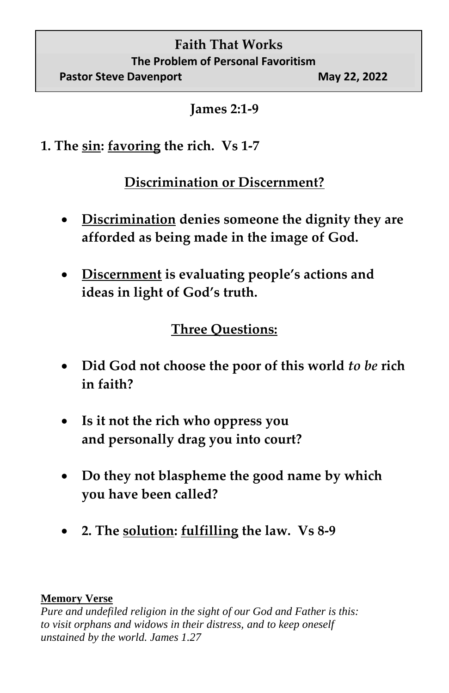## **Faith That Works The Problem of Personal Favoritism Pastor Steve Davenport May 22, 2022**

**James 2:1-9**

**1. The sin: favoring the rich. Vs 1-7**

## **Discrimination or Discernment?**

- **Discrimination denies someone the dignity they are afforded as being made in the image of God.**
- **Discernment is evaluating people's actions and ideas in light of God's truth.**

## **Three Questions:**

- **Did God not choose the poor of this world** *to be* **rich in faith?**
- **Is it not the rich who oppress you and personally drag you into court?**
- **Do they not blaspheme the good name by which you have been called?**
- **2. The solution: fulfilling the law. Vs 8-9**

## **Memory Verse**

*Pure and undefiled religion in the sight of our God and Father is this: to visit orphans and widows in their distress, and to keep oneself unstained by the world. James 1.27*